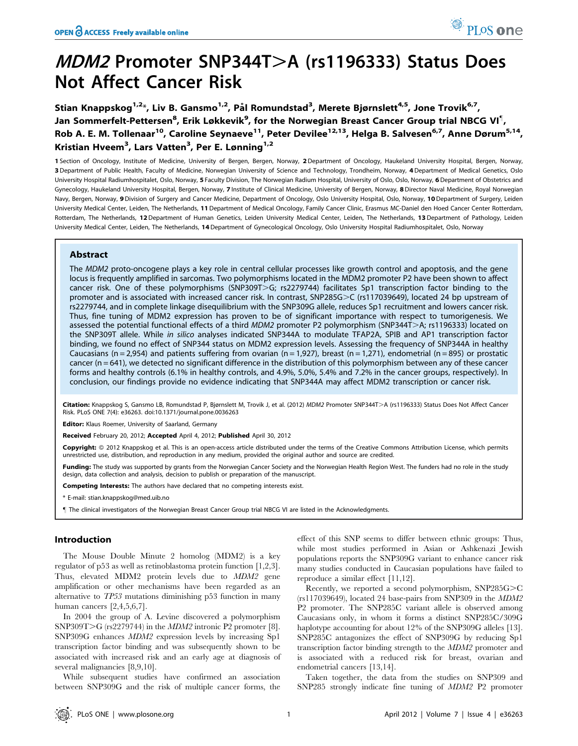# $MDM2$  Promoter SNP344T $>$ A (rs1196333) Status Does Not Affect Cancer Risk

Stian Knappskog<sup>1,2</sup>\*, Liv B. Gansmo<sup>1,2</sup>, Pål Romundstad<sup>3</sup>, Merete Bjørnslett<sup>4,5</sup>, Jone Trovik<sup>6,7</sup>, Jan Sommerfelt-Pettersen<sup>8</sup>, Erik Løkkevik<sup>9</sup>, for the Norwegian Breast Cancer Group trial NBCG VI<sup>¶</sup>, Rob A. E. M. Tollenaar<sup>10</sup>, Caroline Seynaeve<sup>11</sup>, Peter Devilee<sup>12,13</sup>, Helga B. Salvesen<sup>6,7</sup>, Anne Dørum<sup>5,14</sup>, Kristian Hveem<sup>3</sup>, Lars Vatten<sup>3</sup>, Per E. Lønning<sup>1,2</sup>

1 Section of Oncology, Institute of Medicine, University of Bergen, Bergen, Norway, 2 Department of Oncology, Haukeland University Hospital, Bergen, Norway, 3 Department of Public Health, Faculty of Medicine, Norwegian University of Science and Technology, Trondheim, Norway, 4Department of Medical Genetics, Oslo University Hospital Radiumhospitalet, Oslo, Norway, 5 Faculty Division, The Norwegian Radium Hospital, University of Oslo, Oslo, Norway, 6 Department of Obstetrics and Gynecology, Haukeland University Hospital, Bergen, Norway, 7 Institute of Clinical Medicine, University of Bergen, Norway, 8 Director Naval Medicine, Royal Norwegian Navy, Bergen, Norway, 9 Division of Surgery and Cancer Medicine, Department of Oncology, Oslo University Hospital, Oslo, Norway, 10 Department of Surgery, Leiden University Medical Center, Leiden, The Netherlands, 11 Department of Medical Oncology, Family Cancer Clinic, Erasmus MC-Daniel den Hoed Cancer Center Rotterdam, Rotterdam, The Netherlands, 12 Department of Human Genetics, Leiden University Medical Center, Leiden, The Netherlands, 13 Department of Pathology, Leiden University Medical Center, Leiden, The Netherlands, 14Department of Gynecological Oncology, Oslo University Hospital Radiumhospitalet, Oslo, Norway

# Abstract

The MDM2 proto-oncogene plays a key role in central cellular processes like growth control and apoptosis, and the gene locus is frequently amplified in sarcomas. Two polymorphisms located in the MDM2 promoter P2 have been shown to affect cancer risk. One of these polymorphisms (SNP309T $>$ G; rs2279744) facilitates Sp1 transcription factor binding to the promoter and is associated with increased cancer risk. In contrast, SNP285G>C (rs117039649), located 24 bp upstream of rs2279744, and in complete linkage disequilibrium with the SNP309G allele, reduces Sp1 recruitment and lowers cancer risk. Thus, fine tuning of MDM2 expression has proven to be of significant importance with respect to tumorigenesis. We assessed the potential functional effects of a third MDM2 promoter P2 polymorphism (SNP344T>A; rs1196333) located on the SNP309T allele. While in silico analyses indicated SNP344A to modulate TFAP2A, SPIB and AP1 transcription factor binding, we found no effect of SNP344 status on MDM2 expression levels. Assessing the frequency of SNP344A in healthy Caucasians (n = 2,954) and patients suffering from ovarian (n = 1,927), breast (n = 1,271), endometrial (n = 895) or prostatic cancer (n = 641), we detected no significant difference in the distribution of this polymorphism between any of these cancer forms and healthy controls (6.1% in healthy controls, and 4.9%, 5.0%, 5.4% and 7.2% in the cancer groups, respectively). In conclusion, our findings provide no evidence indicating that SNP344A may affect MDM2 transcription or cancer risk.

Citation: Knappskog S, Gansmo LB, Romundstad P, Bjørnslett M, Trovik J, et al. (2012) MDM2 Promoter SNP344T>A (rs1196333) Status Does Not Affect Cancer Risk. PLoS ONE 7(4): e36263. doi:10.1371/journal.pone.0036263

Editor: Klaus Roemer, University of Saarland, Germany

Received February 20, 2012; Accepted April 4, 2012; Published April 30, 2012

**Copyright:** © 2012 Knappskog et al. This is an open-access article distributed under the terms of the Creative Commons Attribution License, which permits unrestricted use, distribution, and reproduction in any medium, provided the original author and source are credited.

Funding: The study was supported by grants from the Norwegian Cancer Society and the Norwegian Health Region West. The funders had no role in the study design, data collection and analysis, decision to publish or preparation of the manuscript.

Competing Interests: The authors have declared that no competing interests exist.

\* E-mail: stian.knappskog@med.uib.no

" The clinical investigators of the Norwegian Breast Cancer Group trial NBCG VI are listed in the Acknowledgments.

# Introduction

The Mouse Double Minute 2 homolog (MDM2) is a key regulator of p53 as well as retinoblastoma protein function [1,2,3]. Thus, elevated MDM2 protein levels due to MDM2 gene amplification or other mechanisms have been regarded as an alternative to TP53 mutations diminishing p53 function in many human cancers [2,4,5,6,7].

In 2004 the group of A. Levine discovered a polymorphism SNP309T $\geq$ G (rs2279744) in the *MDM2* intronic P2 promoter [8]. SNP309G enhances MDM2 expression levels by increasing Sp1 transcription factor binding and was subsequently shown to be associated with increased risk and an early age at diagnosis of several malignancies [8,9,10].

While subsequent studies have confirmed an association between SNP309G and the risk of multiple cancer forms, the effect of this SNP seems to differ between ethnic groups: Thus, while most studies performed in Asian or Ashkenazi Jewish populations reports the SNP309G variant to enhance cancer risk many studies conducted in Caucasian populations have failed to reproduce a similar effect [11,12].

Recently, we reported a second polymorphism,  $SNP285G > C$ (rs117039649), located 24 base-pairs from SNP309 in the MDM2 P2 promoter. The SNP285C variant allele is observed among Caucasians only, in whom it forms a distinct SNP285C/309G haplotype accounting for about 12% of the SNP309G alleles [13]. SNP285C antagonizes the effect of SNP309G by reducing Sp1 transcription factor binding strength to the MDM2 promoter and is associated with a reduced risk for breast, ovarian and endometrial cancers [13,14].

Taken together, the data from the studies on SNP309 and SNP285 strongly indicate fine tuning of MDM2 P2 promoter

PLoS one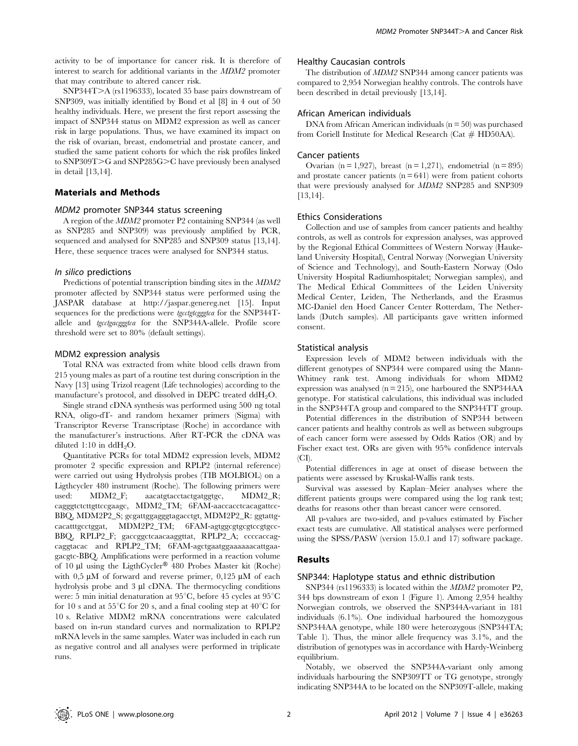SNP344T>A (rs1196333), located 35 base pairs downstream of SNP309, was initially identified by Bond et al [8] in 4 out of 50 healthy individuals. Here, we present the first report assessing the impact of SNP344 status on MDM2 expression as well as cancer risk in large populations. Thus, we have examined its impact on the risk of ovarian, breast, endometrial and prostate cancer, and studied the same patient cohorts for which the risk profiles linked to SNP309T $\geq$ G and SNP285G $\geq$ C have previously been analysed in detail [13,14].

# Materials and Methods

### MDM2 promoter SNP344 status screening

A region of the MDM2 promoter P2 containing SNP344 (as well as SNP285 and SNP309) was previously amplified by PCR, sequenced and analysed for SNP285 and SNP309 status [13,14]. Here, these sequence traces were analysed for SNP344 status.

### In silico predictions

Predictions of potential transcription binding sites in the MDM2 promoter affected by SNP344 status were performed using the JASPAR database at http://jaspar.genereg.net [15]. Input sequences for the predictions were *tgcctgtcgggtca* for the SNP344Tallele and tgcctgacgggtca for the SNP344A-allele. Profile score threshold were set to 80% (default settings).

### MDM2 expression analysis

Total RNA was extracted from white blood cells drawn from 215 young males as part of a routine test during conscription in the Navy [13] using Trizol reagent (Life technologies) according to the manufacture's protocol, and dissolved in DEPC treated  $ddH_2O$ .

Single strand cDNA synthesis was performed using 500 ng total RNA, oligo-dT- and random hexamer primers (Sigma) with Transcriptor Reverse Transcriptase (Roche) in accordance with the manufacturer's instructions. After RT-PCR the cDNA was diluted 1:10 in dd $H_2O$ .

Quantitative PCRs for total MDM2 expression levels, MDM2 promoter 2 specific expression and RPLP2 (internal reference) were carried out using Hydrolysis probes (TIB MOLBIOL) on a Ligthcycler 480 instrument (Roche). The following primers were used: MDM2\_F; aacatgtacctactgatggtgc, MDM2\_R; cagggtctcttgttccgaagc, MDM2\_TM; 6FAM-aaccacctcacagattcc-BBQ, MDM2P2\_S; gcgattggagggtagacctgt, MDM2P2\_R: ggtattgcacatttgcctggat, MDM2P2\_TM; 6FAM-agtggcgtgcgtccgtgcc-BBQ, RPLP2\_F; gaccggctcaacaaggttat, RPLP2\_A; ccccaccagcaggtacac and RPLP2\_TM; 6FAM-agctgaatggaaaaaacattgaagacgtc-BBQ. Amplifications were performed in a reaction volume of 10  $\mu$ l using the LigthCycler<sup>®</sup> 480 Probes Master kit (Roche) with  $0.5 \mu M$  of forward and reverse primer,  $0.125 \mu M$  of each hydrolysis probe and  $3 \mu l$  cDNA. The thermocycling conditions were: 5 min initial denaturation at  $95^{\circ}$ C, before 45 cycles at  $95^{\circ}$ C for 10 s and at  $55^{\circ}$ C for 20 s, and a final cooling step at  $40^{\circ}$ C for 10 s. Relative MDM2 mRNA concentrations were calculated based on in-run standard curves and normalization to RPLP2 mRNA levels in the same samples. Water was included in each run as negative control and all analyses were performed in triplicate runs.

### Healthy Caucasian controls

The distribution of MDM2 SNP344 among cancer patients was compared to 2,954 Norwegian healthy controls. The controls have been described in detail previously [13,14].

#### African American individuals

DNA from African American individuals  $(n = 50)$  was purchased from Coriell Institute for Medical Research (Cat # HD50AA).

#### Cancer patients

Ovarian  $(n = 1.927)$ , breast  $(n = 1.271)$ , endometrial  $(n = 895)$ and prostate cancer patients  $(n = 641)$  were from patient cohorts that were previously analysed for MDM2 SNP285 and SNP309 [13,14].

#### Ethics Considerations

Collection and use of samples from cancer patients and healthy controls, as well as controls for expression analyses, was approved by the Regional Ethical Committees of Western Norway (Haukeland University Hospital), Central Norway (Norwegian University of Science and Technology), and South-Eastern Norway (Oslo University Hospital Radiumhospitalet; Norwegian samples), and The Medical Ethical Committees of the Leiden University Medical Center, Leiden, The Netherlands, and the Erasmus MC-Daniel den Hoed Cancer Center Rotterdam, The Netherlands (Dutch samples). All participants gave written informed consent.

#### Statistical analysis

Expression levels of MDM2 between individuals with the different genotypes of SNP344 were compared using the Mann-Whitney rank test. Among individuals for whom MDM2 expression was analysed ( $n = 215$ ), one harboured the SNP344AA genotype. For statistical calculations, this individual was included in the SNP344TA group and compared to the SNP344TT group.

Potential differences in the distribution of SNP344 between cancer patients and healthy controls as well as between subgroups of each cancer form were assessed by Odds Ratios (OR) and by Fischer exact test. ORs are given with 95% confidence intervals  $(CI)$ .

Potential differences in age at onset of disease between the patients were assessed by Kruskal-Wallis rank tests.

Survival was assessed by Kaplan–Meier analyses where the different patients groups were compared using the log rank test; deaths for reasons other than breast cancer were censored.

All p-values are two-sided, and p-values estimated by Fischer exact tests are cumulative. All statistical analyses were performed using the SPSS/PASW (version 15.0.1 and 17) software package.

# Results

#### SNP344: Haplotype status and ethnic distribution

SNP344 (rs1196333) is located within the MDM2 promoter P2, 344 bps downstream of exon 1 (Figure 1). Among 2,954 healthy Norwegian controls, we observed the SNP344A-variant in 181 individuals (6.1%). One individual harboured the homozygous SNP344AA genotype, while 180 were heterozygous (SNP344TA; Table 1). Thus, the minor allele frequency was 3.1%, and the distribution of genotypes was in accordance with Hardy-Weinberg equilibrium.

Notably, we observed the SNP344A-variant only among individuals harbouring the SNP309TT or TG genotype, strongly indicating SNP344A to be located on the SNP309T-allele, making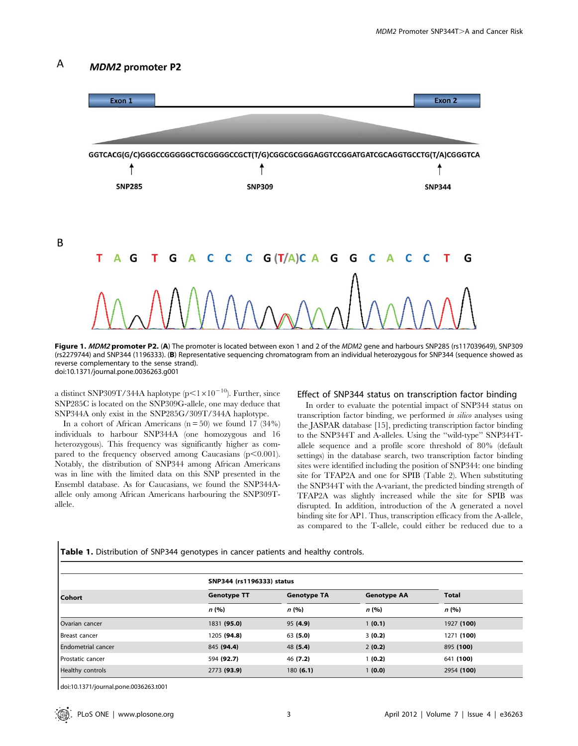#### A **MDM2** promoter P2

B



Figure 1. MDM2 promoter P2. (A) The promoter is located between exon 1 and 2 of the MDM2 gene and harbours SNP285 (rs117039649), SNP309 (rs2279744) and SNP344 (1196333). (B) Representative sequencing chromatogram from an individual heterozygous for SNP344 (sequence showed as reverse complementary to the sense strand). doi:10.1371/journal.pone.0036263.g001

a distinct SNP309T/344A haplotype ( $p<1\times10^{-10}$ ). Further, since SNP285C is located on the SNP309G-allele, one may deduce that SNP344A only exist in the SNP285G/309T/344A haplotype.

In a cohort of African Americans  $(n = 50)$  we found 17 (34%) individuals to harbour SNP344A (one homozygous and 16 heterozygous). This frequency was significantly higher as compared to the frequency observed among Caucasians  $(p<0.001)$ . Notably, the distribution of SNP344 among African Americans was in line with the limited data on this SNP presented in the Ensembl database. As for Caucasians, we found the SNP344Aallele only among African Americans harbouring the SNP309Tallele.

Table 1. Distribution of SNP344 genotypes in cancer patients and healthy controls.

# Effect of SNP344 status on transcription factor binding

In order to evaluate the potential impact of SNP344 status on transcription factor binding, we performed in silico analyses using the JASPAR database [15], predicting transcription factor binding to the SNP344T and A-alleles. Using the ''wild-type'' SNP344Tallele sequence and a profile score threshold of 80% (default settings) in the database search, two transcription factor binding sites were identified including the position of SNP344: one binding site for TFAP2A and one for SPIB (Table 2). When substituting the SNP344T with the A-variant, the predicted binding strength of TFAP2A was slightly increased while the site for SPIB was disrupted. In addition, introduction of the A generated a novel binding site for AP1. Thus, transcription efficacy from the A-allele, as compared to the T-allele, could either be reduced due to a

| Cohort                    | SNP344 (rs1196333) status |                    |                    |              |
|---------------------------|---------------------------|--------------------|--------------------|--------------|
|                           | <b>Genotype TT</b>        | <b>Genotype TA</b> | <b>Genotype AA</b> | <b>Total</b> |
|                           | n(%)                      | n(%)               | n(%)               | n(%)         |
| Ovarian cancer            | 1831 (95.0)               | 95(4.9)            | 1(0.1)             | 1927 (100)   |
| Breast cancer             | 1205 (94.8)               | 63(5.0)            | 3(0.2)             | 1271 (100)   |
| <b>Endometrial cancer</b> | 845 (94.4)                | 48 (5.4)           | 2(0.2)             | 895 (100)    |
| Prostatic cancer          | 594 (92.7)                | 46 (7.2)           | (0.2)              | 641 (100)    |
| Healthy controls          | 2773 (93.9)               | 180(6.1)           | 1(0.0)             | 2954 (100)   |

doi:10.1371/journal.pone.0036263.t001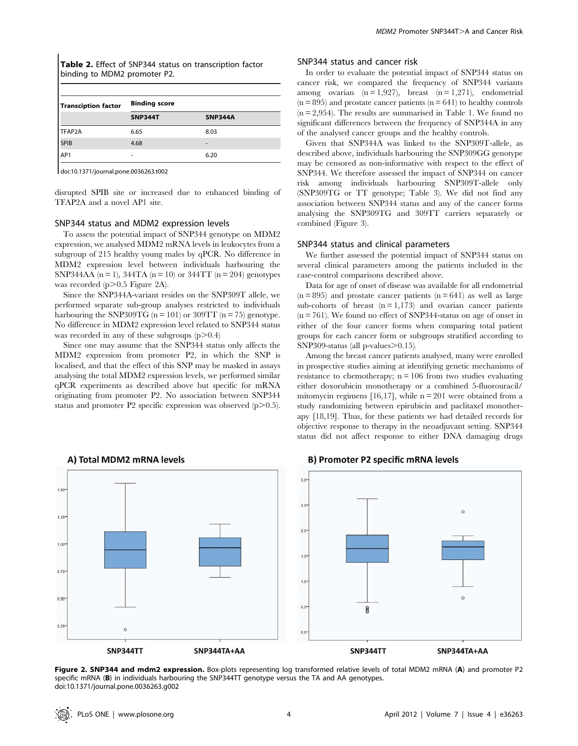| Table 2. Effect of SNP344 status on transcription factor |  |
|----------------------------------------------------------|--|
| binding to MDM2 promoter P2.                             |  |

| Transciption factor | <b>Binding score</b> |                |  |
|---------------------|----------------------|----------------|--|
|                     | <b>SNP344T</b>       | <b>SNP344A</b> |  |
| TFAP2A              | 6.65                 | 8.03           |  |
| <b>SPIB</b>         | 4.68                 |                |  |
| AP1                 | ۰                    | 6.20           |  |

doi:10.1371/journal.pone.0036263.t002

disrupted SPIB site or increased due to enhanced binding of TFAP2A and a novel AP1 site.

#### SNP344 status and MDM2 expression levels

To assess the potential impact of SNP344 genotype on MDM2 expression, we analysed MDM2 mRNA levels in leukocytes from a subgroup of 215 healthy young males by qPCR. No difference in MDM2 expression level between individuals harbouring the SNP344AA ( $n = 1$ ), 344TA ( $n = 10$ ) or 344TT ( $n = 204$ ) genotypes was recorded  $(p>0.5$  Figure 2A).

Since the SNP344A-variant resides on the SNP309T allele, we performed separate sub-group analyses restricted to individuals harbouring the SNP309TG ( $n = 101$ ) or 309TT ( $n = 75$ ) genotype. No difference in MDM2 expression level related to SNP344 status was recorded in any of these subgroups  $(p>0.4)$ 

Since one may assume that the SNP344 status only affects the MDM2 expression from promoter P2, in which the SNP is localised, and that the effect of this SNP may be masked in assays analysing the total MDM2 expression levels, we performed similar qPCR experiments as described above but specific for mRNA originating from promoter P2. No association between SNP344 status and promoter P2 specific expression was observed  $(p>0.5)$ .

# SNP344 status and cancer risk

In order to evaluate the potential impact of SNP344 status on cancer risk, we compared the frequency of SNP344 variants among ovarian  $(n = 1,927)$ , breast  $(n = 1,271)$ , endometrial  $(n = 895)$  and prostate cancer patients  $(n = 641)$  to healthy controls  $(n = 2,954)$ . The results are summarised in Table 1. We found no significant differences between the frequency of SNP344A in any of the analysed cancer groups and the healthy controls.

Given that SNP344A was linked to the SNP309T-allele, as described above, individuals harbouring the SNP309GG genotype may be censored as non-informative with respect to the effect of SNP344. We therefore assessed the impact of SNP344 on cancer risk among individuals harbouring SNP309T-allele only (SNP309TG or TT genotype; Table 3). We did not find any association between SNP344 status and any of the cancer forms analysing the SNP309TG and 309TT carriers separately or combined (Figure 3).

#### SNP344 status and clinical parameters

We further assessed the potential impact of SNP344 status on several clinical parameters among the patients included in the case-control comparisons described above.

Data for age of onset of disease was available for all endometrial  $(n = 895)$  and prostate cancer patients  $(n = 641)$  as well as large sub-cohorts of breast  $(n = 1,173)$  and ovarian cancer patients  $(n = 761)$ . We found no effect of SNP344-status on age of onset in either of the four cancer forms when comparing total patient groups for each cancer form or subgroups stratified according to SNP309-status (all p-values $\geq 0.15$ ).

Among the breast cancer patients analysed, many were enrolled in prospective studies aiming at identifying genetic mechanisms of resistance to chemotherapy;  $n = 106$  from two studies evaluating either doxorubicin monotherapy or a combined 5-fluorouracil/ mitomycin regimens [16,17], while  $n = 201$  were obtained from a study randomizing between epirubicin and paclitaxel monotherapy [18,19]. Thus, for these patients we had detailed records for objective response to therapy in the neoadjuvant setting. SNP344 status did not affect response to either DNA damaging drugs



#### A) Total MDM2 mRNA levels

**B) Promoter P2 specific mRNA levels** 

Figure 2. SNP344 and mdm2 expression. Box-plots representing log transformed relative levels of total MDM2 mRNA (A) and promoter P2 specific mRNA (B) in individuals harbouring the SNP344TT genotype versus the TA and AA genotypes. doi:10.1371/journal.pone.0036263.g002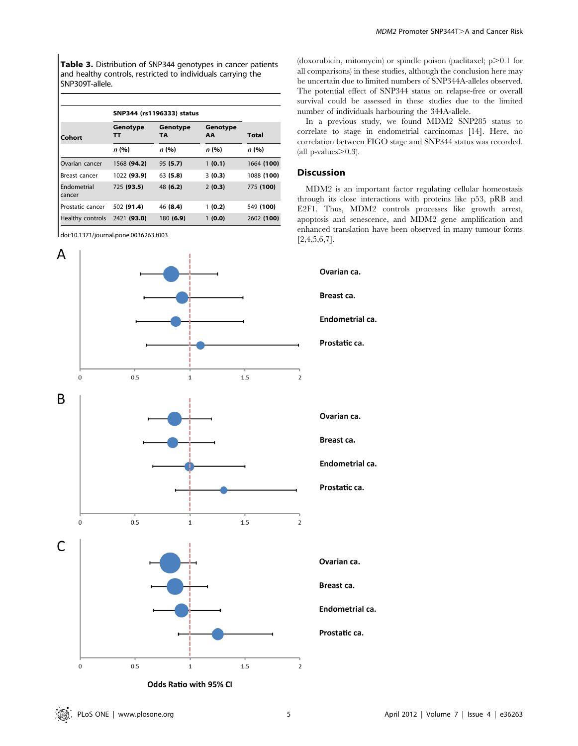Table 3. Distribution of SNP344 genotypes in cancer patients and healthy controls, restricted to individuals carrying the SNP309T-allele.

|                       | SNP344 (rs1196333) status |                       |                |            |  |
|-----------------------|---------------------------|-----------------------|----------------|------------|--|
| Cohort                | Genotype<br>тт            | Genotype<br><b>TA</b> | Genotype<br>AA | Total      |  |
|                       | n (%)                     | n (%)                 | n (%)          | n (%)      |  |
| Ovarian cancer        | 1568 (94.2)               | 95(5.7)               | 1(0.1)         | 1664 (100) |  |
| Breast cancer         | 1022 (93.9)               | 63(5.8)               | 3(0.3)         | 1088 (100) |  |
| Endometrial<br>cancer | 725 (93.5)                | 48 (6.2)              | 2(0.3)         | 775 (100)  |  |
| Prostatic cancer      | 502 (91.4)                | 46 (8.4)              | 1(0.2)         | 549 (100)  |  |
| Healthy controls      | 2421 (93.0)               | 180 (6.9)             | 1(0.0)         | 2602 (100) |  |

doi:10.1371/journal.pone.0036263.t003



(doxorubicin, mitomycin) or spindle poison (paclitaxel;  $p > 0.1$  for all comparisons) in these studies, although the conclusion here may be uncertain due to limited numbers of SNP344A-alleles observed. The potential effect of SNP344 status on relapse-free or overall survival could be assessed in these studies due to the limited number of individuals harbouring the 344A-allele.

In a previous study, we found MDM2 SNP285 status to correlate to stage in endometrial carcinomas [14]. Here, no correlation between FIGO stage and SNP344 status was recorded. (all  $p$ -values $\geq 0.3$ ).

# Discussion

MDM2 is an important factor regulating cellular homeostasis through its close interactions with proteins like p53, pRB and E2F1. Thus, MDM2 controls processes like growth arrest, apoptosis and senescence, and MDM2 gene amplification and enhanced translation have been observed in many tumour forms  $[2,4,5,6,7]$ .

Breast ca. Endometrial ca. Prostatic ca. Ovarian ca. Breast ca. Endometrial ca. Prostatic ca. Ovarian ca. Breast ca. Endometrial ca.